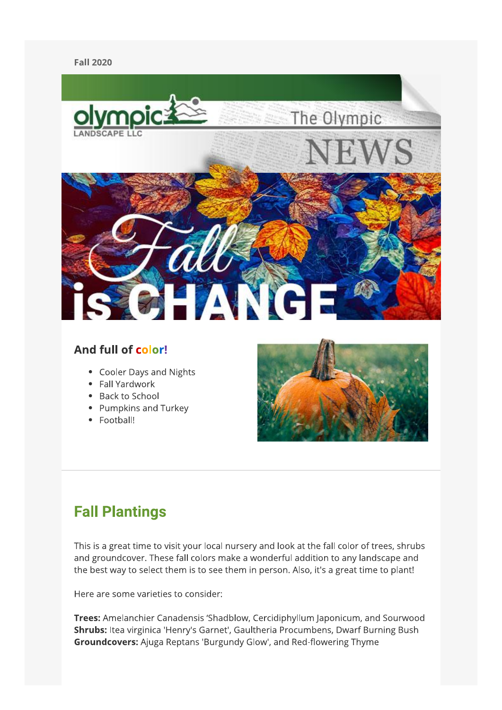#### **Fall 2020**



### And full of color!

- Cooler Days and Nights
- Fall Yardwork
- Back to School
- Pumpkins and Turkey
- Football!



## **Fall Plantings**

This is a great time to visit your local nursery and look at the fall color of trees, shrubs and groundcover. These fall colors make a wonderful addition to any landscape and the best way to select them is to see them in person. Also, it's a great time to plant!

Here are some varieties to consider:

Trees: Amelanchier Canadensis 'Shadblow, Cercidiphyllum Japonicum, and Sourwood Shrubs: Itea virginica 'Henry's Garnet', Gaultheria Procumbens, Dwarf Burning Bush Groundcovers: Ajuga Reptans 'Burgundy Glow', and Red-flowering Thyme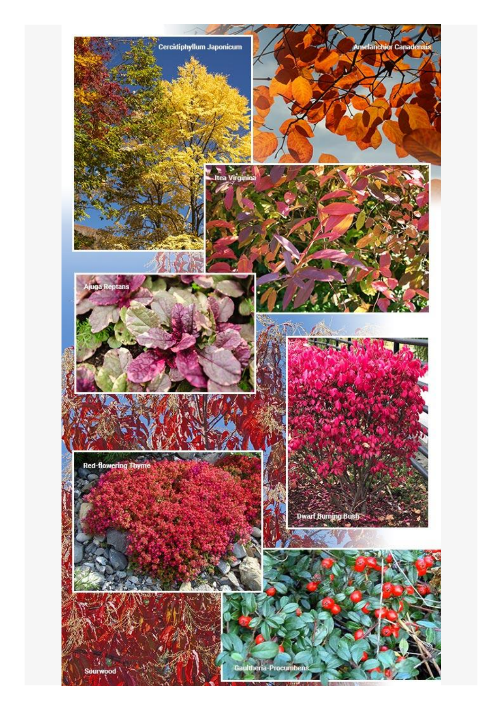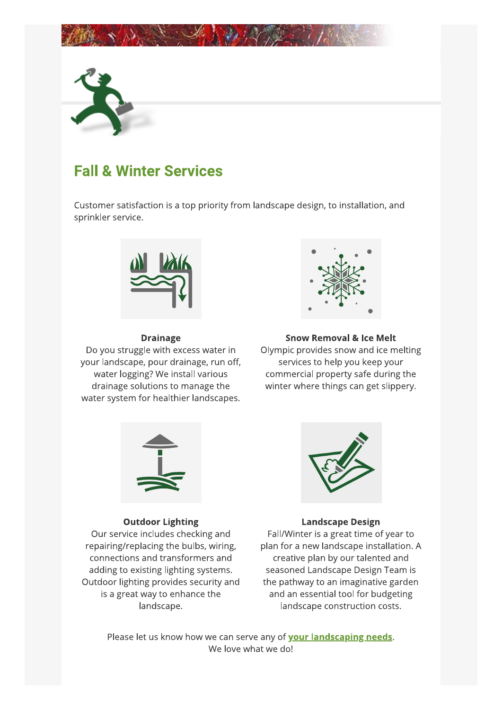



# **Fall & Winter Services**

Customer satisfaction is a top priority from landscape design, to installation, and sprinkler service.



#### **Drainage**

Do you struggle with excess water in your landscape, pour drainage, run off, water logging? We install various drainage solutions to manage the water system for healthier landscapes.



#### **Snow Removal & Ice Melt**

Olympic provides snow and ice melting services to help you keep your commercial property safe during the winter where things can get slippery.



#### **Outdoor Lighting**

Our service includes checking and repairing/replacing the bulbs, wiring, connections and transformers and adding to existing lighting systems. Outdoor lighting provides security and is a great way to enhance the landscape.



#### **Landscape Design**

Fall/Winter is a great time of year to plan for a new landscape installation. A creative plan by our talented and seasoned Landscape Design Team is the pathway to an imaginative garden and an essential tool for budgeting landscape construction costs.

Please let us know how we can serve any of your landscaping needs. We love what we do!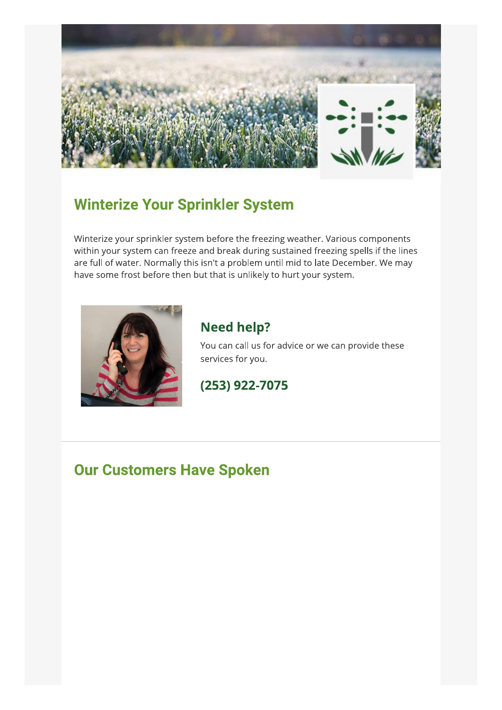

### **Winterize Your Sprinkler System**

Winterize your sprinkler system before the freezing weather. Various components within your system can freeze and break during sustained freezing spells if the lines are full of water. Normally this isn't a problem until mid to late December. We may have some frost before then but that is unlikely to hurt your system.



### **Need help?**

You can call us for advice or we can provide these services for you.

(253) 922-7075

### **Our Customers Have Spoken**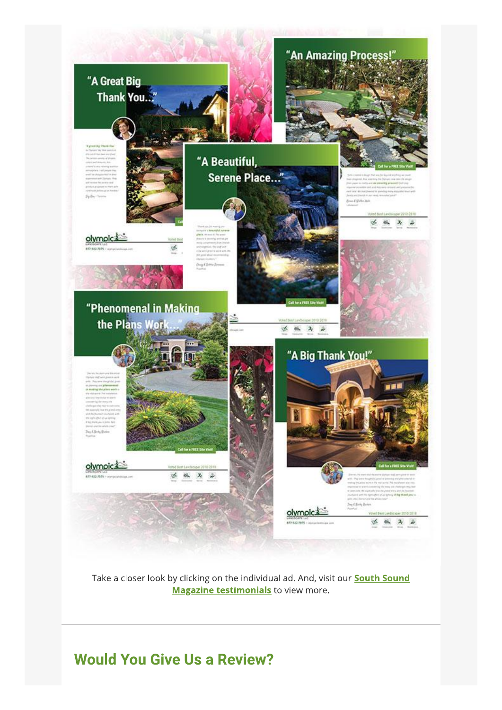

Take a closer look by clicking on the individual ad. And, visit our **South Sound Magazine testimonials** to view more.

**Would You Give Us a Review?**